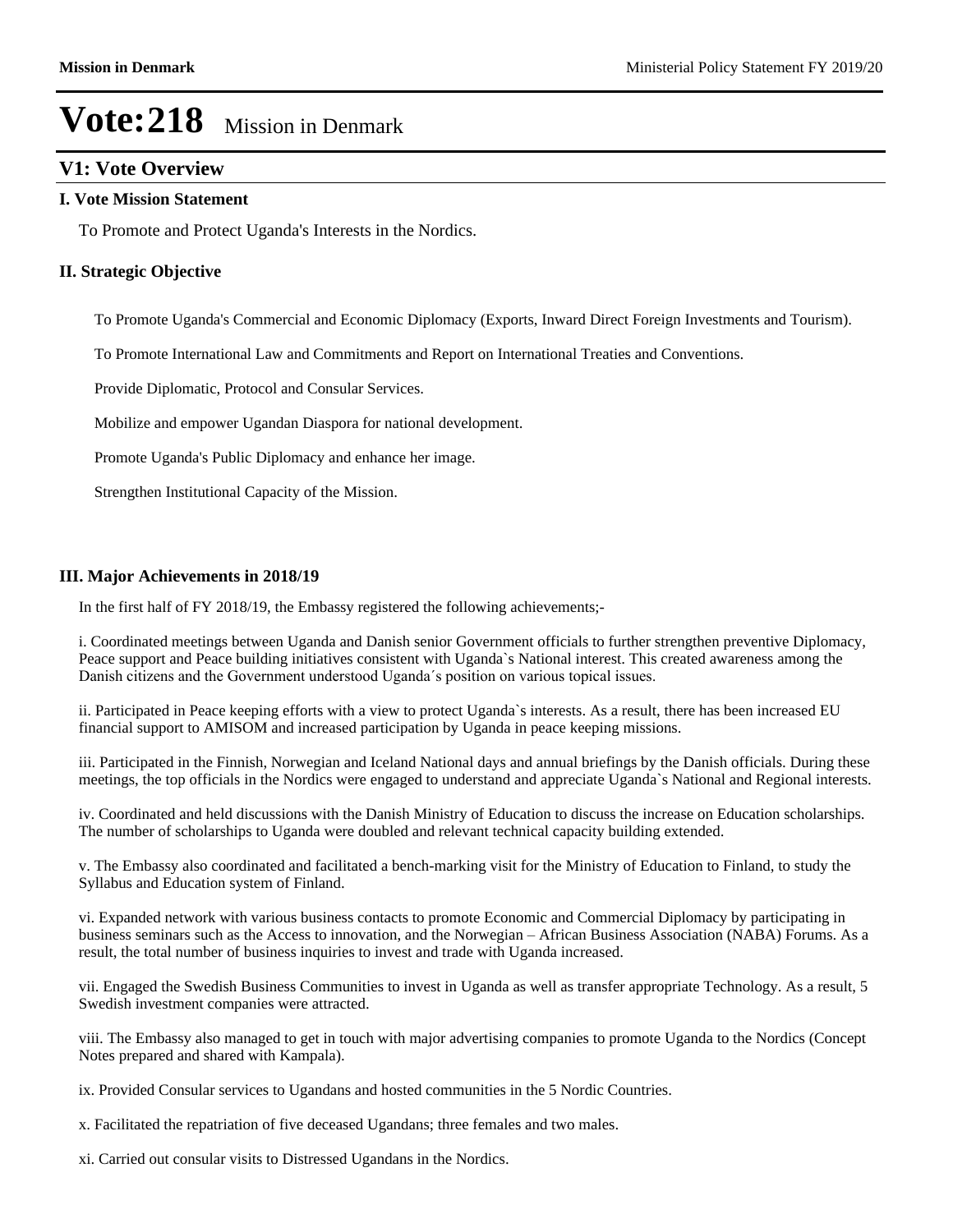### **V1: Vote Overview**

#### **I. Vote Mission Statement**

To Promote and Protect Uganda's Interests in the Nordics.

#### **II. Strategic Objective**

To Promote Uganda's Commercial and Economic Diplomacy (Exports, Inward Direct Foreign Investments and Tourism).

To Promote International Law and Commitments and Report on International Treaties and Conventions.

Provide Diplomatic, Protocol and Consular Services.

Mobilize and empower Ugandan Diaspora for national development.

Promote Uganda's Public Diplomacy and enhance her image.

Strengthen Institutional Capacity of the Mission.

#### **III. Major Achievements in 2018/19**

In the first half of FY 2018/19, the Embassy registered the following achievements;-

i. Coordinated meetings between Uganda and Danish senior Government officials to further strengthen preventive Diplomacy, Peace support and Peace building initiatives consistent with Uganda`s National interest. This created awareness among the Danish citizens and the Government understood Uganda's position on various topical issues.

ii. Participated in Peace keeping efforts with a view to protect Uganda`s interests. As a result, there has been increased EU financial support to AMISOM and increased participation by Uganda in peace keeping missions.

iii. Participated in the Finnish, Norwegian and Iceland National days and annual briefings by the Danish officials. During these meetings, the top officials in the Nordics were engaged to understand and appreciate Uganda`s National and Regional interests.

iv. Coordinated and held discussions with the Danish Ministry of Education to discuss the increase on Education scholarships. The number of scholarships to Uganda were doubled and relevant technical capacity building extended.

v. The Embassy also coordinated and facilitated a bench-marking visit for the Ministry of Education to Finland, to study the Syllabus and Education system of Finland.

vi. Expanded network with various business contacts to promote Economic and Commercial Diplomacy by participating in business seminars such as the Access to innovation, and the Norwegian – African Business Association (NABA) Forums. As a result, the total number of business inquiries to invest and trade with Uganda increased.

vii. Engaged the Swedish Business Communities to invest in Uganda as well as transfer appropriate Technology. As a result, 5 Swedish investment companies were attracted.

viii. The Embassy also managed to get in touch with major advertising companies to promote Uganda to the Nordics (Concept Notes prepared and shared with Kampala).

ix. Provided Consular services to Ugandans and hosted communities in the 5 Nordic Countries.

- x. Facilitated the repatriation of five deceased Ugandans; three females and two males.
- xi. Carried out consular visits to Distressed Ugandans in the Nordics.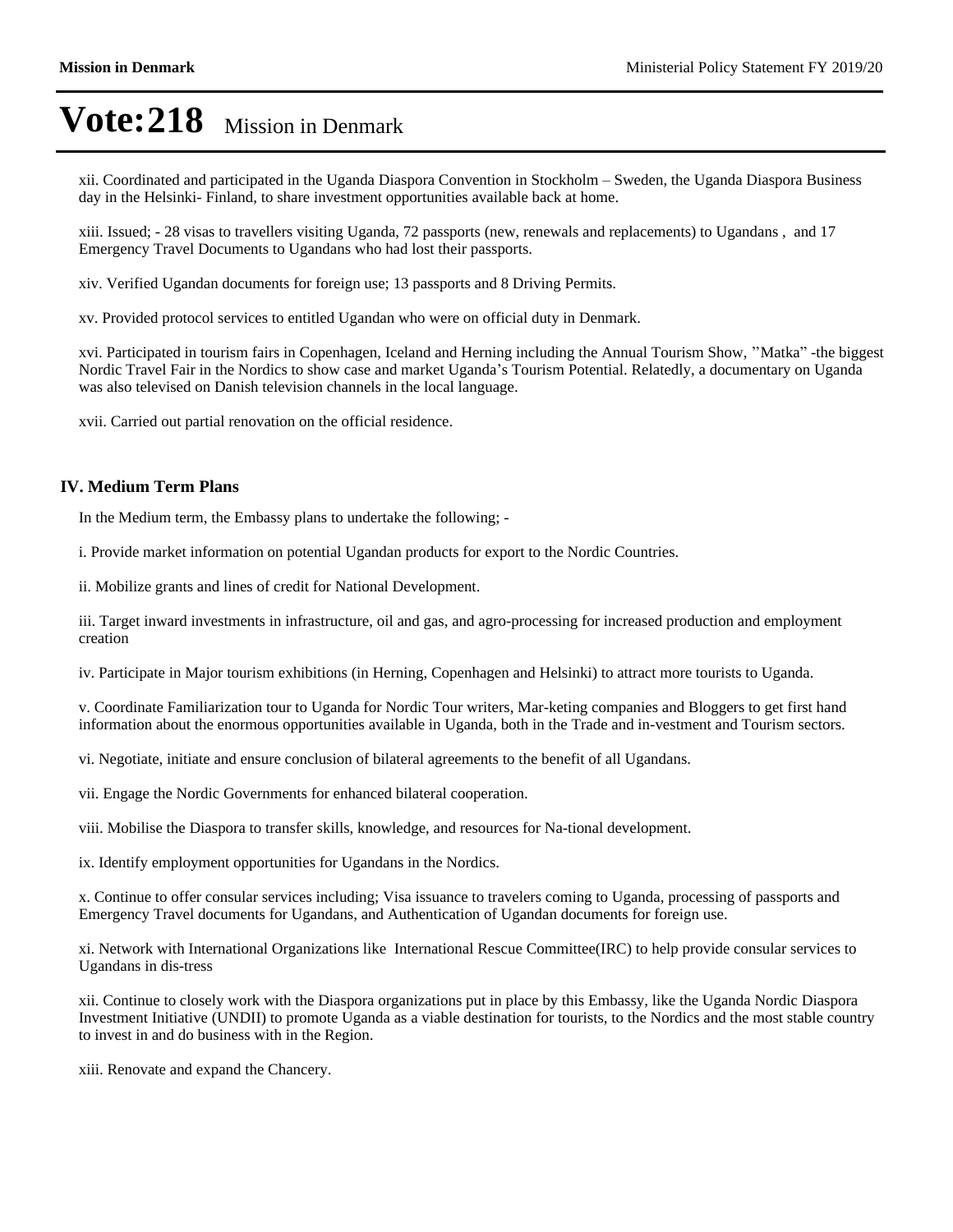xii. Coordinated and participated in the Uganda Diaspora Convention in Stockholm ±Sweden, the Uganda Diaspora Business day in the Helsinki- Finland, to share investment opportunities available back at home.

xiii. Issued; - 28 visas to travellers visiting Uganda, 72 passports (new, renewals and replacements) to Ugandans , and 17 Emergency Travel Documents to Ugandans who had lost their passports.

xiv. Verified Ugandan documents for foreign use; 13 passports and 8 Driving Permits.

xv. Provided protocol services to entitled Ugandan who were on official duty in Denmark.

xvi. Participated in tourism fairs in Copenhagen, Iceland and Herning including the Annual Tourism Show, "Matka"-the biggest Nordic Travel Fair in the Nordics to show case and market Uganda's Tourism Potential. Relatedly, a documentary on Uganda was also televised on Danish television channels in the local language.

xvii. Carried out partial renovation on the official residence.

#### **IV. Medium Term Plans**

In the Medium term, the Embassy plans to undertake the following; -

i. Provide market information on potential Ugandan products for export to the Nordic Countries.

ii. Mobilize grants and lines of credit for National Development.

iii. Target inward investments in infrastructure, oil and gas, and agro-processing for increased production and employment creation

iv. Participate in Major tourism exhibitions (in Herning, Copenhagen and Helsinki) to attract more tourists to Uganda.

v. Coordinate Familiarization tour to Uganda for Nordic Tour writers, Mar-keting companies and Bloggers to get first hand information about the enormous opportunities available in Uganda, both in the Trade and in-vestment and Tourism sectors.

vi. Negotiate, initiate and ensure conclusion of bilateral agreements to the benefit of all Ugandans.

vii. Engage the Nordic Governments for enhanced bilateral cooperation.

viii. Mobilise the Diaspora to transfer skills, knowledge, and resources for Na-tional development.

ix. Identify employment opportunities for Ugandans in the Nordics.

x. Continue to offer consular services including; Visa issuance to travelers coming to Uganda, processing of passports and Emergency Travel documents for Ugandans, and Authentication of Ugandan documents for foreign use.

xi. Network with International Organizations like International Rescue Committee(IRC) to help provide consular services to Ugandans in dis-tress

xii. Continue to closely work with the Diaspora organizations put in place by this Embassy, like the Uganda Nordic Diaspora Investment Initiative (UNDII) to promote Uganda as a viable destination for tourists, to the Nordics and the most stable country to invest in and do business with in the Region.

xiii. Renovate and expand the Chancery.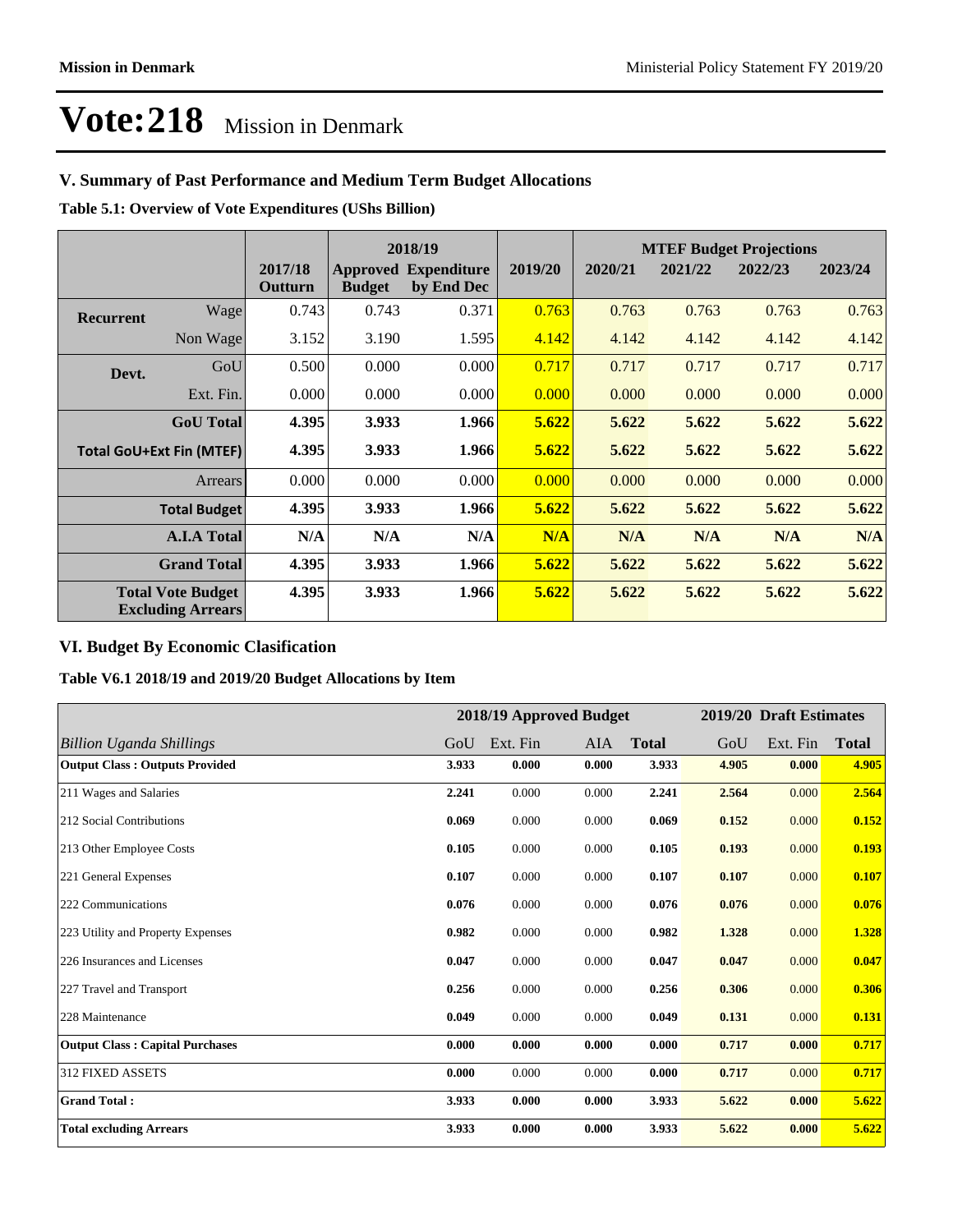## **V. Summary of Past Performance and Medium Term Budget Allocations**

**Table 5.1: Overview of Vote Expenditures (UShs Billion)**

|                                                      |                  |                    |               | 2018/19                                   |         | <b>MTEF Budget Projections</b> |         |         |         |
|------------------------------------------------------|------------------|--------------------|---------------|-------------------------------------------|---------|--------------------------------|---------|---------|---------|
|                                                      |                  | 2017/18<br>Outturn | <b>Budget</b> | <b>Approved Expenditure</b><br>by End Dec | 2019/20 | 2020/21                        | 2021/22 | 2022/23 | 2023/24 |
| <b>Recurrent</b>                                     | Wage             | 0.743              | 0.743         | 0.371                                     | 0.763   | 0.763                          | 0.763   | 0.763   | 0.763   |
|                                                      | Non Wage         | 3.152              | 3.190         | 1.595                                     | 4.142   | 4.142                          | 4.142   | 4.142   | 4.142   |
| Devt.                                                | GoU              | 0.500              | 0.000         | 0.000                                     | 0.717   | 0.717                          | 0.717   | 0.717   | 0.717   |
|                                                      | Ext. Fin.        | 0.000              | 0.000         | 0.000                                     | 0.000   | 0.000                          | 0.000   | 0.000   | 0.000   |
|                                                      | <b>GoU</b> Total | 4.395              | 3.933         | 1.966                                     | 5.622   | 5.622                          | 5.622   | 5.622   | 5.622   |
| <b>Total GoU+Ext Fin (MTEF)</b>                      |                  | 4.395              | 3.933         | 1.966                                     | 5.622   | 5.622                          | 5.622   | 5.622   | 5.622   |
|                                                      | Arrears          | 0.000              | 0.000         | 0.000                                     | 0.000   | 0.000                          | 0.000   | 0.000   | 0.000   |
| <b>Total Budget</b>                                  |                  | 4.395              | 3.933         | 1.966                                     | 5.622   | 5.622                          | 5.622   | 5.622   | 5.622   |
| <b>A.I.A Total</b>                                   |                  | N/A                | N/A           | N/A                                       | N/A     | N/A                            | N/A     | N/A     | N/A     |
| <b>Grand Total</b>                                   |                  | 4.395              | 3.933         | 1.966                                     | 5.622   | 5.622                          | 5.622   | 5.622   | 5.622   |
| <b>Total Vote Budget</b><br><b>Excluding Arrears</b> |                  | 4.395              | 3.933         | 1.966                                     | 5.622   | 5.622                          | 5.622   | 5.622   | 5.622   |

### **VI. Budget By Economic Clasification**

**Table V6.1 2018/19 and 2019/20 Budget Allocations by Item**

|                                        |       | 2018/19 Approved Budget |       |              |       | 2019/20 Draft Estimates |              |
|----------------------------------------|-------|-------------------------|-------|--------------|-------|-------------------------|--------------|
| <b>Billion Uganda Shillings</b>        | GoU   | Ext. Fin                | AIA   | <b>Total</b> | GoU   | Ext. Fin                | <b>Total</b> |
| <b>Output Class: Outputs Provided</b>  | 3.933 | 0.000                   | 0.000 | 3.933        | 4.905 | 0.000                   | 4.905        |
| 211 Wages and Salaries                 | 2.241 | 0.000                   | 0.000 | 2.241        | 2.564 | 0.000                   | 2.564        |
| 212 Social Contributions               | 0.069 | 0.000                   | 0.000 | 0.069        | 0.152 | 0.000                   | 0.152        |
| 213 Other Employee Costs               | 0.105 | 0.000                   | 0.000 | 0.105        | 0.193 | 0.000                   | 0.193        |
| 221 General Expenses                   | 0.107 | 0.000                   | 0.000 | 0.107        | 0.107 | 0.000                   | 0.107        |
| 222 Communications                     | 0.076 | 0.000                   | 0.000 | 0.076        | 0.076 | 0.000                   | 0.076        |
| 223 Utility and Property Expenses      | 0.982 | 0.000                   | 0.000 | 0.982        | 1.328 | 0.000                   | 1.328        |
| 226 Insurances and Licenses            | 0.047 | 0.000                   | 0.000 | 0.047        | 0.047 | 0.000                   | 0.047        |
| 227 Travel and Transport               | 0.256 | 0.000                   | 0.000 | 0.256        | 0.306 | 0.000                   | 0.306        |
| 228 Maintenance                        | 0.049 | 0.000                   | 0.000 | 0.049        | 0.131 | 0.000                   | 0.131        |
| <b>Output Class: Capital Purchases</b> | 0.000 | 0.000                   | 0.000 | 0.000        | 0.717 | 0.000                   | 0.717        |
| <b>312 FIXED ASSETS</b>                | 0.000 | 0.000                   | 0.000 | 0.000        | 0.717 | 0.000                   | 0.717        |
| <b>Grand Total:</b>                    | 3.933 | 0.000                   | 0.000 | 3.933        | 5.622 | 0.000                   | 5.622        |
| <b>Total excluding Arrears</b>         | 3.933 | 0.000                   | 0.000 | 3.933        | 5.622 | 0.000                   | 5.622        |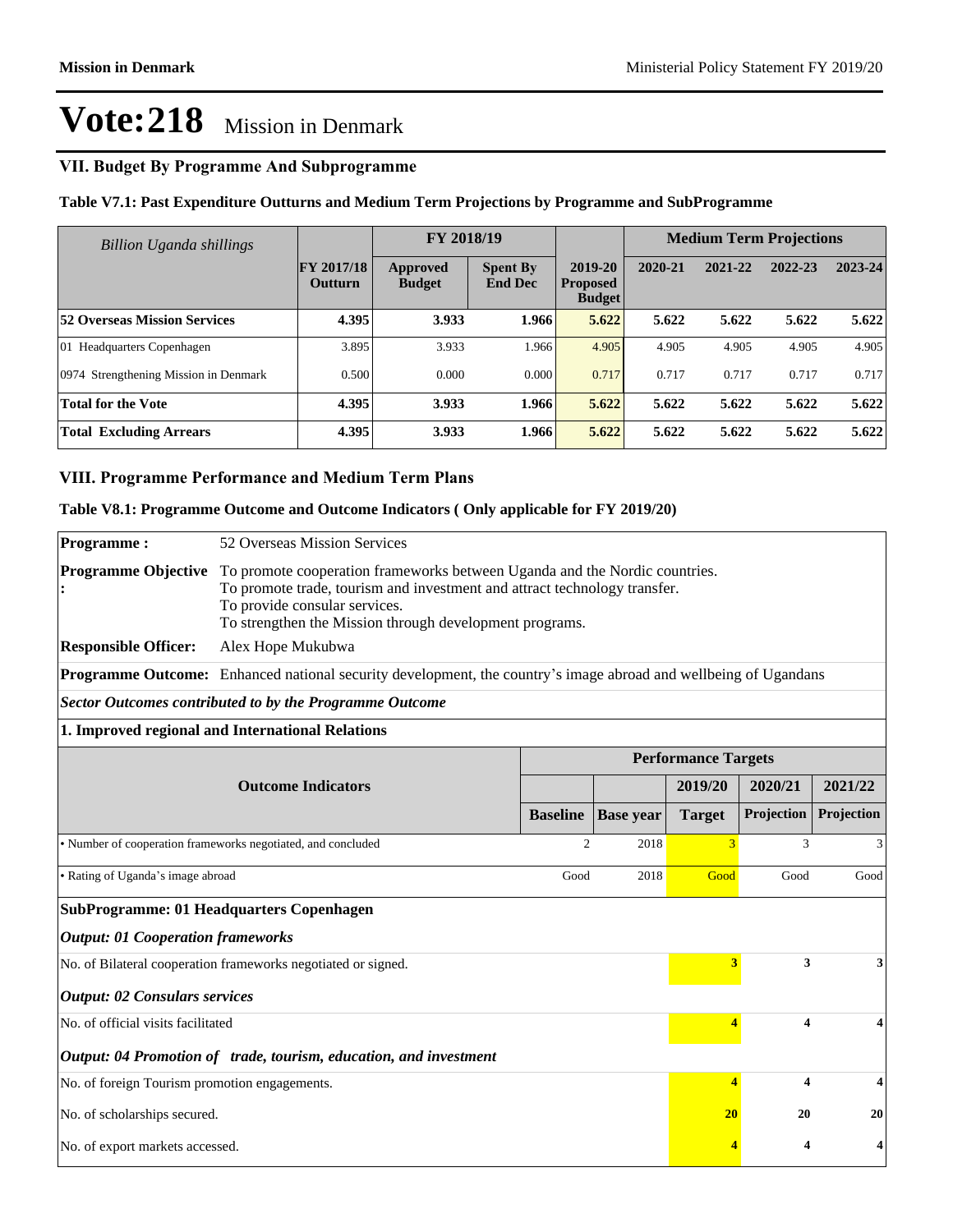## **VII. Budget By Programme And Subprogramme**

**Table V7.1: Past Expenditure Outturns and Medium Term Projections by Programme and SubProgramme**

| Billion Uganda shillings              |                                     | FY 2018/19                       |                                   |                                             |         | <b>Medium Term Projections</b> |         |         |  |
|---------------------------------------|-------------------------------------|----------------------------------|-----------------------------------|---------------------------------------------|---------|--------------------------------|---------|---------|--|
|                                       | <b>FY 2017/18</b><br><b>Outturn</b> | <b>Approved</b><br><b>Budget</b> | <b>Spent By</b><br><b>End Dec</b> | 2019-20<br><b>Proposed</b><br><b>Budget</b> | 2020-21 | 2021-22                        | 2022-23 | 2023-24 |  |
| <b>52 Overseas Mission Services</b>   | 4.395                               | 3.933                            | 1.966                             | 5.622                                       | 5.622   | 5.622                          | 5.622   | 5.622   |  |
| 01 Headquarters Copenhagen            | 3.895                               | 3.933                            | 1.966                             | 4.905                                       | 4.905   | 4.905                          | 4.905   | 4.905   |  |
| 0974 Strengthening Mission in Denmark | 0.500                               | 0.000                            | 0.000                             | 0.717                                       | 0.717   | 0.717                          | 0.717   | 0.717   |  |
| <b>Total for the Vote</b>             | 4.395                               | 3.933                            | 1.966                             | 5.622                                       | 5.622   | 5.622                          | 5.622   | 5.622   |  |
| <b>Total Excluding Arrears</b>        | 4.395                               | 3.933                            | 1.966                             | 5.622                                       | 5.622   | 5.622                          | 5.622   | 5.622   |  |

#### **VIII. Programme Performance and Medium Term Plans**

**Table V8.1: Programme Outcome and Outcome Indicators ( Only applicable for FY 2019/20)**

| <b>Programme:</b>                             | 52 Overseas Mission Services                                                                                                                                                                                                                        |                 |                  |                            |            |            |
|-----------------------------------------------|-----------------------------------------------------------------------------------------------------------------------------------------------------------------------------------------------------------------------------------------------------|-----------------|------------------|----------------------------|------------|------------|
| <b>Programme Objective</b>                    | To promote cooperation frameworks between Uganda and the Nordic countries.<br>To promote trade, tourism and investment and attract technology transfer.<br>To provide consular services.<br>To strengthen the Mission through development programs. |                 |                  |                            |            |            |
| <b>Responsible Officer:</b>                   | Alex Hope Mukubwa                                                                                                                                                                                                                                   |                 |                  |                            |            |            |
|                                               | <b>Programme Outcome:</b> Enhanced national security development, the country's image abroad and wellbeing of Ugandans                                                                                                                              |                 |                  |                            |            |            |
|                                               | <b>Sector Outcomes contributed to by the Programme Outcome</b>                                                                                                                                                                                      |                 |                  |                            |            |            |
|                                               | 1. Improved regional and International Relations                                                                                                                                                                                                    |                 |                  |                            |            |            |
|                                               |                                                                                                                                                                                                                                                     |                 |                  | <b>Performance Targets</b> |            |            |
|                                               | <b>Outcome Indicators</b>                                                                                                                                                                                                                           |                 |                  | 2019/20                    | 2020/21    | 2021/22    |
|                                               |                                                                                                                                                                                                                                                     | <b>Baseline</b> | <b>Base year</b> | <b>Target</b>              | Projection | Projection |
|                                               | • Number of cooperation frameworks negotiated, and concluded                                                                                                                                                                                        | $\overline{2}$  | 2018             |                            | 3          | 3          |
| · Rating of Uganda's image abroad             |                                                                                                                                                                                                                                                     |                 | 2018             | Good                       | Good       | Good       |
|                                               | <b>SubProgramme: 01 Headquarters Copenhagen</b>                                                                                                                                                                                                     |                 |                  |                            |            |            |
| <b>Output: 01 Cooperation frameworks</b>      |                                                                                                                                                                                                                                                     |                 |                  |                            |            |            |
|                                               | No. of Bilateral cooperation frameworks negotiated or signed.                                                                                                                                                                                       |                 |                  | 3                          | 3          | 3          |
| <b>Output: 02 Consulars services</b>          |                                                                                                                                                                                                                                                     |                 |                  |                            |            |            |
| No. of official visits facilitated            |                                                                                                                                                                                                                                                     |                 |                  | $\overline{4}$             | 4          | 4          |
|                                               | Output: 04 Promotion of trade, tourism, education, and investment                                                                                                                                                                                   |                 |                  |                            |            |            |
| No. of foreign Tourism promotion engagements. |                                                                                                                                                                                                                                                     |                 |                  | 4                          | 4          |            |
| No. of scholarships secured.                  |                                                                                                                                                                                                                                                     |                 |                  | 20                         | 20         | 20         |
| No. of export markets accessed.               |                                                                                                                                                                                                                                                     |                 |                  |                            | 4          | 4          |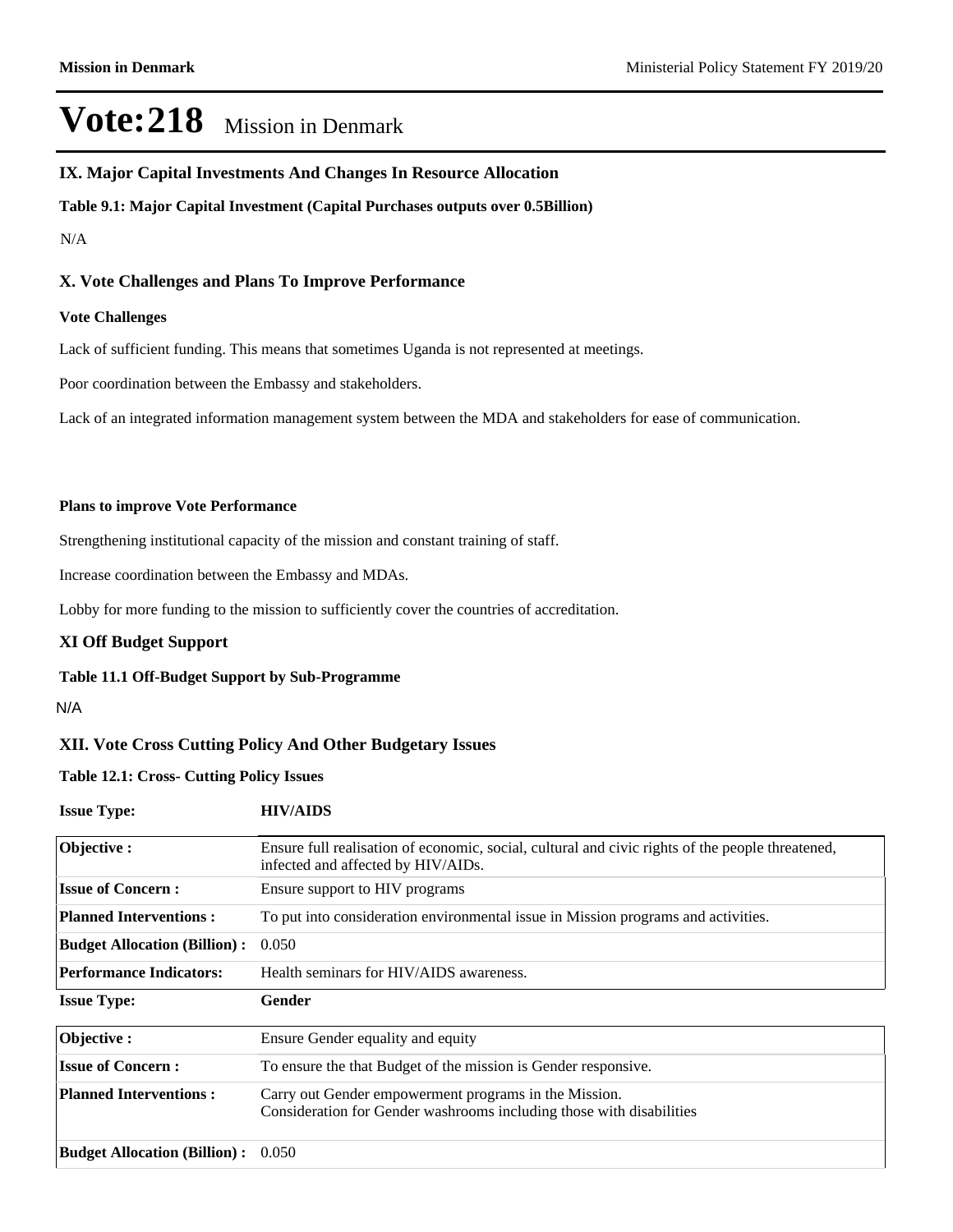#### **IX. Major Capital Investments And Changes In Resource Allocation**

**Table 9.1: Major Capital Investment (Capital Purchases outputs over 0.5Billion)**

#### N/A

#### **X. Vote Challenges and Plans To Improve Performance**

#### **Vote Challenges**

Lack of sufficient funding. This means that sometimes Uganda is not represented at meetings.

Poor coordination between the Embassy and stakeholders.

Lack of an integrated information management system between the MDA and stakeholders for ease of communication.

#### **Plans to improve Vote Performance**

Strengthening institutional capacity of the mission and constant training of staff.

Increase coordination between the Embassy and MDAs.

Lobby for more funding to the mission to sufficiently cover the countries of accreditation.

#### **XI Off Budget Support**

#### **Table 11.1 Off-Budget Support by Sub-Programme**

#### N/A

#### **XII. Vote Cross Cutting Policy And Other Budgetary Issues**

**Table 12.1: Cross- Cutting Policy Issues**

**Issue Type: HIV/AIDS**

| Objective:                          | Ensure full realisation of economic, social, cultural and civic rights of the people threatened,<br>infected and affected by HIV/AIDs. |
|-------------------------------------|----------------------------------------------------------------------------------------------------------------------------------------|
| <b>Issue of Concern:</b>            | Ensure support to HIV programs                                                                                                         |
| <b>Planned Interventions:</b>       | To put into consideration environmental issue in Mission programs and activities.                                                      |
| <b>Budget Allocation (Billion):</b> | 0.050                                                                                                                                  |
| <b>Performance Indicators:</b>      | Health seminars for HIV/AIDS awareness.                                                                                                |
| <b>Issue Type:</b>                  | Gender                                                                                                                                 |
| Objective:                          | Ensure Gender equality and equity                                                                                                      |
| <b>Issue of Concern:</b>            | To ensure the that Budget of the mission is Gender responsive.                                                                         |
| <b>Planned Interventions:</b>       | Carry out Gender empowerment programs in the Mission.                                                                                  |
|                                     | Consideration for Gender washrooms including those with disabilities                                                                   |